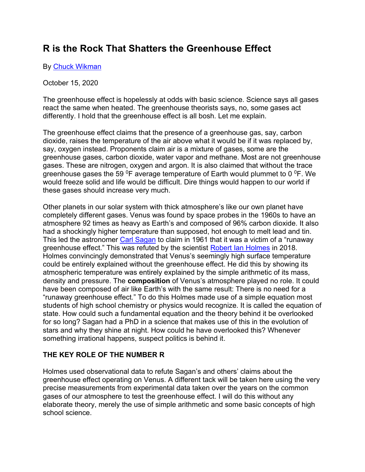# **R is the Rock That Shatters the Greenhouse Effect**

By [Chuck Wikman](https://www.lewrockwell.com/author/chuck-wikman/?ptype=article)

October 15, 2020

The greenhouse effect is hopelessly at odds with basic science. Science says all gases react the same when heated. The greenhouse theorists says, no, some gases act differently. I hold that the greenhouse effect is all bosh. Let me explain.

The greenhouse effect claims that the presence of a greenhouse gas, say, carbon dioxide, raises the temperature of the air above what it would be if it was replaced by, say, oxygen instead. Proponents claim air is a mixture of gases, some are the greenhouse gases, carbon dioxide, water vapor and methane. Most are not greenhouse gases. These are nitrogen, oxygen and argon. It is also claimed that without the trace greenhouse gases the 59  $^{0}$ F average temperature of Earth would plummet to 0  $^{0}$ F. We would freeze solid and life would be difficult. Dire things would happen to our world if these gases should increase very much.

Other planets in our solar system with thick atmosphere's like our own planet have completely different gases. Venus was found by space probes in the 1960s to have an atmosphere 92 times as heavy as Earth's and composed of 96% carbon dioxide. It also had a shockingly higher temperature than supposed, hot enough to melt lead and tin. This led the astronomer [Carl Sagan](https://science.sciencemag.org/content/133/3456/849) to claim in 1961 that it was a victim of a "runaway greenhouse effect." This was refuted by the scientist [Robert Ian Holmes](https://www.researchgate.net/publication/324599511_Thermal_Enhancement_on_Planetary_Bodies_and_the_Relevance_of_the_Molar_Mass_Version_of_the_Ideal_Gas_Law_to_the_Null_Hypothesis_of_Climate_Change) in 2018. Holmes convincingly demonstrated that Venus's seemingly high surface temperature could be entirely explained without the greenhouse effect. He did this by showing its atmospheric temperature was entirely explained by the simple arithmetic of its mass, density and pressure. The **composition** of Venus's atmosphere played no role. It could have been composed of air like Earth's with the same result: There is no need for a "runaway greenhouse effect." To do this Holmes made use of a simple equation most students of high school chemistry or physics would recognize. It is called the equation of state. How could such a fundamental equation and the theory behind it be overlooked for so long? Sagan had a PhD in a science that makes use of this in the evolution of stars and why they shine at night. How could he have overlooked this? Whenever something irrational happens, suspect politics is behind it.

### **THE KEY ROLE OF THE NUMBER R**

Holmes used observational data to refute Sagan's and others' claims about the greenhouse effect operating on Venus. A different tack will be taken here using the very precise measurements from experimental data taken over the years on the common gases of our atmosphere to test the greenhouse effect. I will do this without any elaborate theory, merely the use of simple arithmetic and some basic concepts of high school science.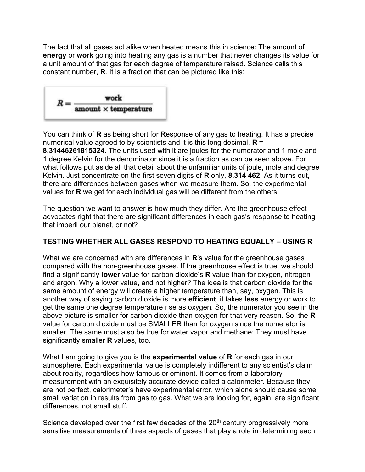The fact that all gases act alike when heated means this in science: The amount of **energy** or **work** going into heating any gas is a number that never changes its value for a unit amount of that gas for each degree of temperature raised. Science calls this constant number, **R**. It is a fraction that can be pictured like this:



You can think of **R** as being short for **R**esponse of any gas to heating. It has a precise numerical value agreed to by scientists and it is this long decimal, **R = 8.31446261815324**. The units used with it are joules for the numerator and 1 mole and 1 degree Kelvin for the denominator since it is a fraction as can be seen above. For what follows put aside all that detail about the unfamiliar units of joule, mole and degree Kelvin. Just concentrate on the first seven digits of **R** only, **8.314 462**. As it turns out, there are differences between gases when we measure them. So, the experimental values for **R** we get for each individual gas will be different from the others.

The question we want to answer is how much they differ. Are the greenhouse effect advocates right that there are significant differences in each gas's response to heating that imperil our planet, or not?

### **TESTING WHETHER ALL GASES RESPOND TO HEATING EQUALLY – USING R**

What we are concerned with are differences in **R**'s value for the greenhouse gases compared with the non-greenhouse gases. If the greenhouse effect is true, we should find a significantly **lower** value for carbon dioxide's **R** value than for oxygen, nitrogen and argon. Why a lower value, and not higher? The idea is that carbon dioxide for the same amount of energy will create a higher temperature than, say, oxygen. This is another way of saying carbon dioxide is more **efficient**, it takes **less** energy or work to get the same one degree temperature rise as oxygen. So, the numerator you see in the above picture is smaller for carbon dioxide than oxygen for that very reason. So, the **R** value for carbon dioxide must be SMALLER than for oxygen since the numerator is smaller. The same must also be true for water vapor and methane: They must have significantly smaller **R** values, too.

What I am going to give you is the **experimental value** of **R** for each gas in our atmosphere. Each experimental value is completely indifferent to any scientist's claim about reality, regardless how famous or eminent. It comes from a laboratory measurement with an exquisitely accurate device called a calorimeter. Because they are not perfect, calorimeter's have experimental error, which alone should cause some small variation in results from gas to gas. What we are looking for, again, are significant differences, not small stuff.

Science developed over the first few decades of the  $20<sup>th</sup>$  century progressively more sensitive measurements of three aspects of gases that play a role in determining each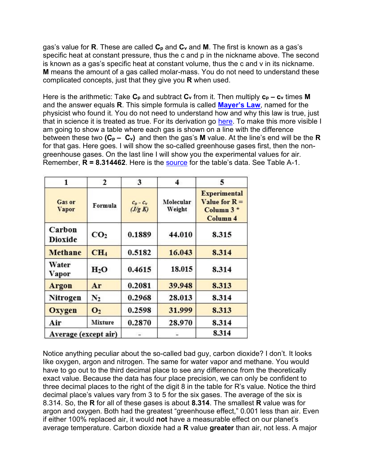gas's value for **R**. These are called **C<sup>p</sup>** and **C<sup>v</sup>** and **M**. The first is known as a gas's specific heat at constant pressure, thus the c and p in the nickname above. The second is known as a gas's specific heat at constant volume, thus the c and v in its nickname. **M** means the amount of a gas called molar-mass. You do not need to understand these complicated concepts, just that they give you **R** when used.

Here is the arithmetic: Take **C<sup>p</sup>** and subtract **C<sup>v</sup>** from it. Then multiply **c<sup>p</sup> – c<sup>v</sup>** times **M**  and the answer equals **R**. This simple formula is called **[Mayer's Law](https://en.wikipedia.org/wiki/Mayer)**, named for the physicist who found it. You do not need to understand how and why this law is true, just that in science it is treated as true. For its derivation go [here.](https://www.engineeringtoolbox.com/specific-heat-ratio-d_608.html) To make this more visible I am going to show a table where each gas is shown on a line with the difference between these two **(C<sup>p</sup> – Cv)** and then the gas's **M** value. At the line's end will be the **R** for that gas. Here goes. I will show the so-called greenhouse gases first, then the nongreenhouse gases. On the last line I will show you the experimental values for air. Remember, **R = 8.314462**. Here is the [source](https://www.studocu.com/row/document/ghulam-ishaq-khan-institute-of-engineering-sciences-and-technology/thermodynamics-i/other/cengel-thermodynamic-tables-si-units/4042080/view) for the table's data. See Table A-1.

| 1                             | 2               | 3                      | 4                   | 5                                                                            |
|-------------------------------|-----------------|------------------------|---------------------|------------------------------------------------------------------------------|
| <b>Gas or</b><br><b>Vapor</b> | Formula         | $c_p - c_v$<br>(J/g K) | Molecular<br>Weight | <b>Experimental</b><br>Value for $R =$<br>Column $3*$<br>Column <sub>4</sub> |
| Carbon<br><b>Dioxide</b>      | CO <sub>2</sub> | 0.1889                 | 44.010              | 8.315                                                                        |
| <b>Methane</b>                | CH <sub>4</sub> | 0.5182                 | 16.043              | 8.314                                                                        |
| Water<br>Vapor                | $H_2O$          | 0.4615                 | 18.015              | 8.314                                                                        |
| Argon                         | Ar              | 0.2081                 | 39.948              | 8.313                                                                        |
| Nitrogen                      | $\mathbf{N}_2$  | 0.2968                 | 28.013              | 8.314                                                                        |
| <b>Oxygen</b>                 | O <sub>2</sub>  | 0.2598                 | 31.999              | 8.313                                                                        |
| Air                           | <b>Mixture</b>  | 0.2870                 | 28.970              | 8.314                                                                        |
| Average (except air)          |                 |                        |                     | 8.314                                                                        |

Notice anything peculiar about the so-called bad guy, carbon dioxide? I don't. It looks like oxygen, argon and nitrogen. The same for water vapor and methane. You would have to go out to the third decimal place to see any difference from the theoretically exact value. Because the data has four place precision, we can only be confident to three decimal places to the right of the digit 8 in the table for R's value. Notice the third decimal place's values vary from 3 to 5 for the six gases. The average of the six is 8.314. So, the **R** for all of these gases is about **8.314**. The smallest **R** value was for argon and oxygen. Both had the greatest "greenhouse effect," 0.001 less than air. Even if either 100% replaced air, it would **not** have a measurable effect on our planet's average temperature. Carbon dioxide had a **R** value **greater** than air, not less. A major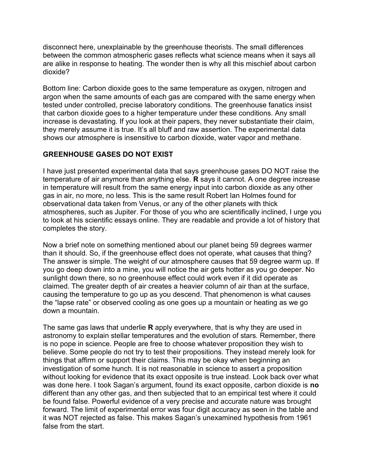disconnect here, unexplainable by the greenhouse theorists. The small differences between the common atmospheric gases reflects what science means when it says all are alike in response to heating. The wonder then is why all this mischief about carbon dioxide?

Bottom line: Carbon dioxide goes to the same temperature as oxygen, nitrogen and argon when the same amounts of each gas are compared with the same energy when tested under controlled, precise laboratory conditions. The greenhouse fanatics insist that carbon dioxide goes to a higher temperature under these conditions. Any small increase is devastating. If you look at their papers, they never substantiate their claim, they merely assume it is true. It's all bluff and raw assertion. The experimental data shows our atmosphere is insensitive to carbon dioxide, water vapor and methane.

## **GREENHOUSE GASES DO NOT EXIST**

I have just presented experimental data that says greenhouse gases DO NOT raise the temperature of air anymore than anything else. **R** says it cannot. A one degree increase in temperature will result from the same energy input into carbon dioxide as any other gas in air, no more, no less. This is the same result Robert Ian Holmes found for observational data taken from Venus, or any of the other planets with thick atmospheres, such as Jupiter. For those of you who are scientifically inclined, I urge you to look at his scientific essays online. They are readable and provide a lot of history that completes the story.

Now a brief note on something mentioned about our planet being 59 degrees warmer than it should. So, if the greenhouse effect does not operate, what causes that thing? The answer is simple. The weight of our atmosphere causes that 59 degree warm up. If you go deep down into a mine, you will notice the air gets hotter as you go deeper. No sunlight down there, so no greenhouse effect could work even if it did operate as claimed. The greater depth of air creates a heavier column of air than at the surface, causing the temperature to go up as you descend. That phenomenon is what causes the "lapse rate" or observed cooling as one goes up a mountain or heating as we go down a mountain.

The same gas laws that underlie **R** apply everywhere, that is why they are used in astronomy to explain stellar temperatures and the evolution of stars. Remember, there is no pope in science. People are free to choose whatever proposition they wish to believe. Some people do not try to test their propositions. They instead merely look for things that affirm or support their claims. This may be okay when beginning an investigation of some hunch. It is not reasonable in science to assert a proposition without looking for evidence that its exact opposite is true instead. Look back over what was done here. I took Sagan's argument, found its exact opposite, carbon dioxide is **no** different than any other gas, and then subjected that to an empirical test where it could be found false. Powerful evidence of a very precise and accurate nature was brought forward. The limit of experimental error was four digit accuracy as seen in the table and it was NOT rejected as false. This makes Sagan's unexamined hypothesis from 1961 false from the start.